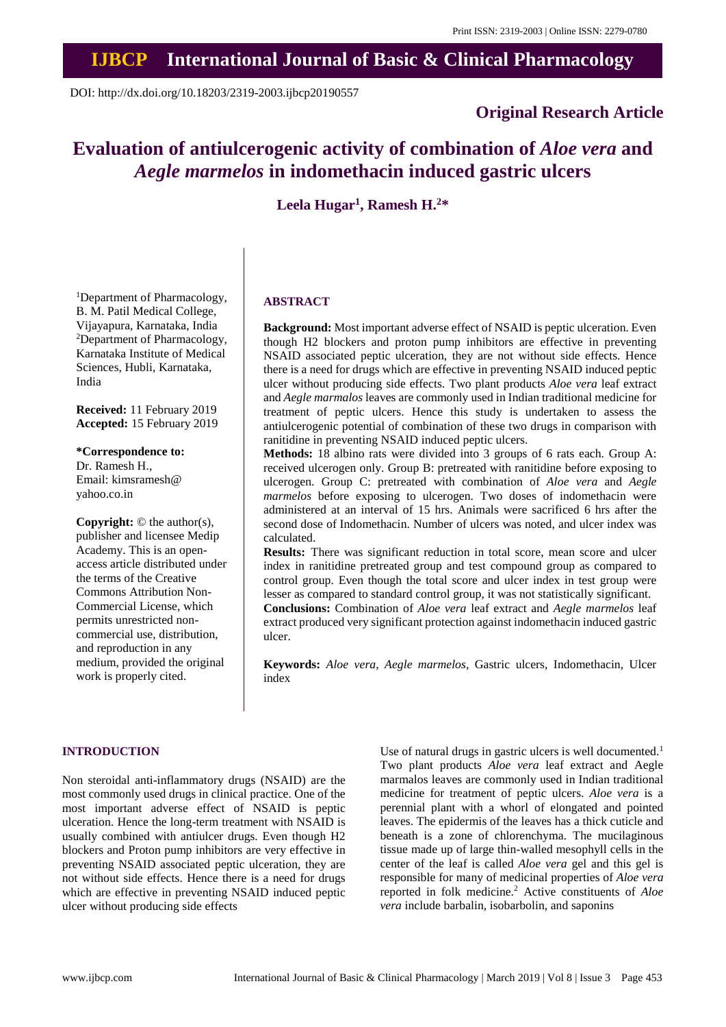# **IJBCP International Journal of Basic & Clinical Pharmacology**

DOI: http://dx.doi.org/10.18203/2319-2003.ijbcp20190557

### **Original Research Article**

## **Evaluation of antiulcerogenic activity of combination of** *Aloe vera* **and** *Aegle marmelos* **in indomethacin induced gastric ulcers**

**Leela Hugar<sup>1</sup> , Ramesh H.<sup>2</sup>\***

<sup>1</sup>Department of Pharmacology, B. M. Patil Medical College, Vijayapura, Karnataka, India <sup>2</sup>Department of Pharmacology, Karnataka Institute of Medical Sciences, Hubli, Karnataka, India

**Received:** 11 February 2019 **Accepted:** 15 February 2019

**\*Correspondence to:** Dr. Ramesh H., Email: kimsramesh@ yahoo.co.in

**Copyright:** © the author(s), publisher and licensee Medip Academy. This is an openaccess article distributed under the terms of the Creative Commons Attribution Non-Commercial License, which permits unrestricted noncommercial use, distribution, and reproduction in any medium, provided the original work is properly cited.

#### **ABSTRACT**

**Background:** Most important adverse effect of NSAID is peptic ulceration. Even though H2 blockers and proton pump inhibitors are effective in preventing NSAID associated peptic ulceration, they are not without side effects. Hence there is a need for drugs which are effective in preventing NSAID induced peptic ulcer without producing side effects. Two plant products *Aloe vera* leaf extract and *Aegle marmalos* leaves are commonly used in Indian traditional medicine for treatment of peptic ulcers. Hence this study is undertaken to assess the antiulcerogenic potential of combination of these two drugs in comparison with ranitidine in preventing NSAID induced peptic ulcers.

**Methods:** 18 albino rats were divided into 3 groups of 6 rats each. Group A: received ulcerogen only. Group B: pretreated with ranitidine before exposing to ulcerogen. Group C: pretreated with combination of *Aloe vera* and *Aegle marmelos* before exposing to ulcerogen. Two doses of indomethacin were administered at an interval of 15 hrs. Animals were sacrificed 6 hrs after the second dose of Indomethacin. Number of ulcers was noted, and ulcer index was calculated.

**Results:** There was significant reduction in total score, mean score and ulcer index in ranitidine pretreated group and test compound group as compared to control group. Even though the total score and ulcer index in test group were lesser as compared to standard control group, it was not statistically significant.

**Conclusions:** Combination of *Aloe vera* leaf extract and *Aegle marmelos* leaf extract produced very significant protection against indomethacin induced gastric ulcer.

**Keywords:** *Aloe vera*, *Aegle marmelos*, Gastric ulcers, Indomethacin, Ulcer index

#### **INTRODUCTION**

Non steroidal anti-inflammatory drugs (NSAID) are the most commonly used drugs in clinical practice. One of the most important adverse effect of NSAID is peptic ulceration. Hence the long-term treatment with NSAID is usually combined with antiulcer drugs. Even though H2 blockers and Proton pump inhibitors are very effective in preventing NSAID associated peptic ulceration, they are not without side effects. Hence there is a need for drugs which are effective in preventing NSAID induced peptic ulcer without producing side effects

Use of natural drugs in gastric ulcers is well documented.<sup>1</sup> Two plant products *Aloe vera* leaf extract and Aegle marmalos leaves are commonly used in Indian traditional medicine for treatment of peptic ulcers. *[Aloe](http://www.scialert.net/asci/result.php?searchin=Keywords&cat=&ascicat=ALL&Submit=Search&keyword=Aloe+vera) vera* is a perennial plant with a whorl of elongated and pointed leaves. The epidermis of the leaves has a thick cuticle and beneath is a zone of chlorenchyma. The mucilaginous tissue made up of large thin-walled mesophyll cells in the center of the leaf is called *Aloe vera* gel and this gel is responsible for many of medicinal properties of *[Aloe](http://www.scialert.net/asci/result.php?searchin=Keywords&cat=&ascicat=ALL&Submit=Search&keyword=Aloe+vera) vera* reported in folk medicine.<sup>2</sup> Active constituents of *Aloe vera* include barbalin, isobarbolin, and saponins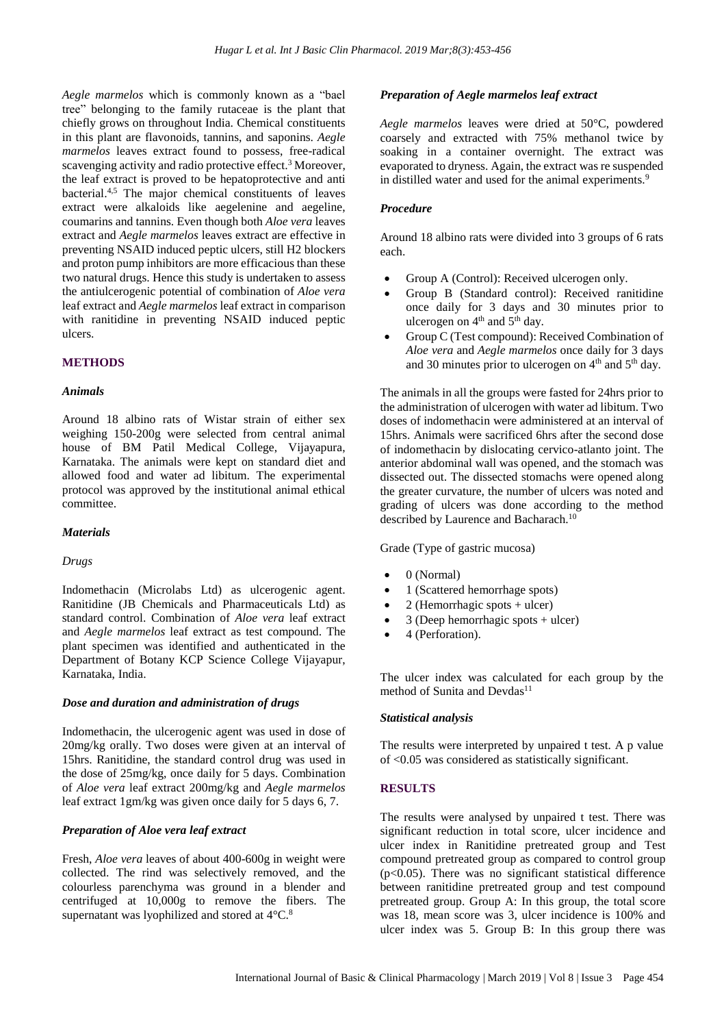*Aegle marmelos* which is commonly known as a "bael tree" belonging to the family rutaceae is the plant that chiefly grows on throughout India. Chemical constituents in this plant are flavonoids, tannins, and saponins. *Aegle marmelos* leaves extract found to possess, free-radical scavenging activity and radio protective effect.<sup>3</sup> Moreover, the leaf extract is proved to be hepatoprotective and anti bacterial.<sup>4,5</sup> The major chemical constituents of leaves extract were alkaloids like aegelenine and aegeline, coumarins and tannins. Even though both *Aloe vera* leaves extract and *Aegle marmelos* leaves extract are effective in preventing NSAID induced peptic ulcers, still H2 blockers and proton pump inhibitors are more efficacious than these two natural drugs. Hence this study is undertaken to assess the antiulcerogenic potential of combination of *Aloe vera* leaf extract and *Aegle marmelos* leaf extract in comparison with ranitidine in preventing NSAID induced peptic ulcers.

#### **METHODS**

#### *Animals*

Around 18 albino rats of Wistar strain of either sex weighing 150-200g were selected from central animal house of BM Patil Medical College, Vijayapura, Karnataka. The animals were kept on standard diet and allowed food and water ad libitum. The experimental protocol was approved by the institutional animal ethical committee.

#### *Materials*

#### *Drugs*

Indomethacin (Microlabs Ltd) as ulcerogenic agent. Ranitidine (JB Chemicals and Pharmaceuticals Ltd) as standard control. Combination of *Aloe vera* leaf extract and *Aegle marmelos* leaf extract as test compound. The plant specimen was identified and authenticated in the Department of Botany KCP Science College Vijayapur, Karnataka, India.

#### *Dose and duration and administration of drugs*

Indomethacin, the ulcerogenic agent was used in dose of 20mg/kg orally. Two doses were given at an interval of 15hrs. Ranitidine, the standard control drug was used in the dose of 25mg/kg, once daily for 5 days. Combination of *Aloe vera* leaf extract 200mg/kg and *Aegle marmelos* leaf extract 1gm/kg was given once daily for 5 days 6, 7.

#### *Preparation of Aloe vera leaf extract*

Fresh, *Aloe vera* leaves of about 400-600g in weight were collected. The rind was selectively removed, and the colourless parenchyma was ground in a blender and centrifuged at 10,000g to remove the fibers. The supernatant was lyophilized and stored at 4°C.<sup>8</sup>

#### *Preparation of Aegle marmelos leaf extract*

*Aegle marmelos* leaves were dried at 50°C, powdered coarsely and extracted with 75% methanol twice by soaking in a container overnight. The extract was evaporated to dryness. Again, the extract was re suspended in distilled water and used for the animal experiments.<sup>9</sup>

#### *Procedure*

Around 18 albino rats were divided into 3 groups of 6 rats each.

- Group A (Control): Received ulcerogen only.
- Group B (Standard control): Received ranitidine once daily for 3 days and 30 minutes prior to ulcerogen on  $4<sup>th</sup>$  and  $5<sup>th</sup>$  day.
- Group C (Test compound): Received Combination of *Aloe vera* and *Aegle marmelos* once daily for 3 days and 30 minutes prior to ulcerogen on  $4<sup>th</sup>$  and  $5<sup>th</sup>$  day.

The animals in all the groups were fasted for 24hrs prior to the administration of ulcerogen with water ad libitum. Two doses of indomethacin were administered at an interval of 15hrs. Animals were sacrificed 6hrs after the second dose of indomethacin by dislocating cervico-atlanto joint. The anterior abdominal wall was opened, and the stomach was dissected out. The dissected stomachs were opened along the greater curvature, the number of ulcers was noted and grading of ulcers was done according to the method described by Laurence and Bacharach.<sup>10</sup>

Grade (Type of gastric mucosa)

- 0 (Normal)
- 1 (Scattered hemorrhage spots)
- 2 (Hemorrhagic spots + ulcer)
- 3 (Deep hemorrhagic spots + ulcer)
- 4 (Perforation).

The ulcer index was calculated for each group by the method of Sunita and Devdas $11$ 

#### *Statistical analysis*

The results were interpreted by unpaired t test. A p value of <0.05 was considered as statistically significant.

#### **RESULTS**

The results were analysed by unpaired t test. There was significant reduction in total score, ulcer incidence and ulcer index in Ranitidine pretreated group and Test compound pretreated group as compared to control group  $(p<0.05)$ . There was no significant statistical difference between ranitidine pretreated group and test compound pretreated group. Group A: In this group, the total score was 18, mean score was 3, ulcer incidence is 100% and ulcer index was 5. Group B: In this group there was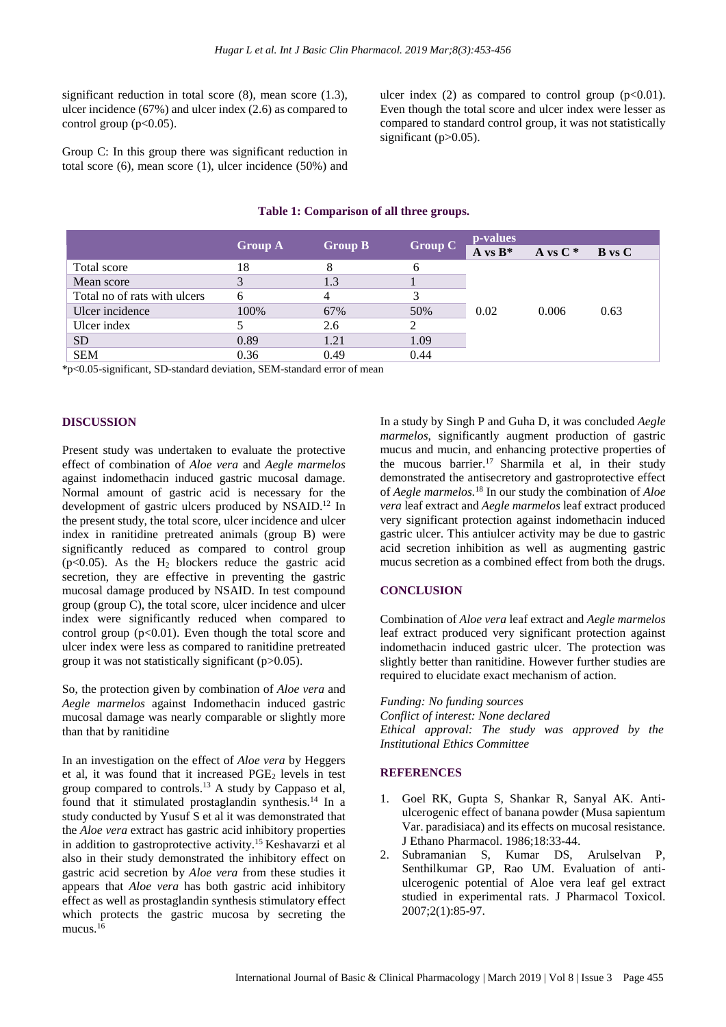significant reduction in total score (8), mean score (1.3), ulcer incidence (67%) and ulcer index (2.6) as compared to control group  $(p<0.05)$ .

Group C: In this group there was significant reduction in total score (6), mean score (1), ulcer incidence (50%) and

ulcer index (2) as compared to control group  $(p<0.01)$ . Even though the total score and ulcer index were lesser as compared to standard control group, it was not statistically significant  $(p>0.05)$ .

|                              | <b>Group B</b><br><b>Group A</b> |      | Group $\overline{C}$ | p-values   |            |               |
|------------------------------|----------------------------------|------|----------------------|------------|------------|---------------|
|                              |                                  |      |                      | A vs $B^*$ | A vs $C^*$ | <b>B</b> vs C |
| Total score                  | 18                               |      | 6                    | 0.02       | 0.006      | 0.63          |
| Mean score                   | 3                                | 1.3  |                      |            |            |               |
| Total no of rats with ulcers | 6                                | 4    | 3                    |            |            |               |
| Ulcer incidence              | 100%                             | 67%  | 50%                  |            |            |               |
| Ulcer index                  |                                  | 2.6  | 2                    |            |            |               |
| <b>SD</b>                    | 0.89                             | 1.21 | 1.09                 |            |            |               |
| <b>SEM</b>                   | 0.36                             | 0.49 | 0.44                 |            |            |               |
|                              |                                  |      |                      |            |            |               |

#### **Table 1: Comparison of all three groups.**

\*p<0.05-significant, SD-standard deviation, SEM-standard error of mean

#### **DISCUSSION**

Present study was undertaken to evaluate the protective effect of combination of *Aloe vera* and *Aegle marmelos* against indomethacin induced gastric mucosal damage. Normal amount of gastric acid is necessary for the development of gastric ulcers produced by NSAID. <sup>12</sup> In the present study, the total score, ulcer incidence and ulcer index in ranitidine pretreated animals (group B) were significantly reduced as compared to control group ( $p<0.05$ ). As the H<sub>2</sub> blockers reduce the gastric acid secretion, they are effective in preventing the gastric mucosal damage produced by NSAID. In test compound group (group C), the total score, ulcer incidence and ulcer index were significantly reduced when compared to control group  $(p<0.01)$ . Even though the total score and ulcer index were less as compared to ranitidine pretreated group it was not statistically significant (p>0.05).

So, the protection given by combination of *Aloe vera* and *Aegle marmelos* against Indomethacin induced gastric mucosal damage was nearly comparable or slightly more than that by ranitidine

In an investigation on the effect of *Aloe vera* by Heggers et al, it was found that it increased  $PGE<sub>2</sub>$  levels in test group compared to controls.<sup>13</sup> A study by Cappaso et al, found that it stimulated prostaglandin synthesis.<sup>14</sup> In a study conducted by Yusuf S et al it was demonstrated that the *Aloe vera* extract has gastric acid inhibitory properties in addition to gastroprotective activity. <sup>15</sup> Keshavarzi et al also in their study demonstrated the inhibitory effect on gastric acid secretion by *Aloe vera* from these studies it appears that *Aloe vera* has both gastric acid inhibitory effect as well as prostaglandin synthesis stimulatory effect which protects the gastric mucosa by secreting the mucus.<sup>16</sup>

In a study by Singh P and Guha D, it was concluded *Aegle marmelos*, significantly augment production of gastric mucus and mucin, and enhancing protective properties of the mucous barrier. <sup>17</sup> Sharmila et al, in their study demonstrated the antisecretory and gastroprotective effect of *Aegle marmelos.* <sup>18</sup> In our study the combination of *Aloe vera* leaf extract and *Aegle marmelos* leaf extract produced very significant protection against indomethacin induced gastric ulcer. This antiulcer activity may be due to gastric acid secretion inhibition as well as augmenting gastric mucus secretion as a combined effect from both the drugs.

#### **CONCLUSION**

Combination of *Aloe vera* leaf extract and *Aegle marmelos* leaf extract produced very significant protection against indomethacin induced gastric ulcer. The protection was slightly better than ranitidine. However further studies are required to elucidate exact mechanism of action.

*Funding: No funding sources Conflict of interest: None declared Ethical approval: The study was approved by the Institutional Ethics Committee*

#### **REFERENCES**

- 1. Goel RK, Gupta S, Shankar R, Sanyal AK. Antiulcerogenic effect of banana powder (Musa sapientum Var. paradisiaca) and its effects on mucosal resistance. J Ethano Pharmacol. 1986;18:33-44.
- 2. Subramanian S, Kumar DS, Arulselvan P, Senthilkumar GP, Rao UM. Evaluation of antiulcerogenic potential of Aloe vera leaf gel extract studied in experimental rats. J Pharmacol Toxicol. 2007;2(1):85-97.